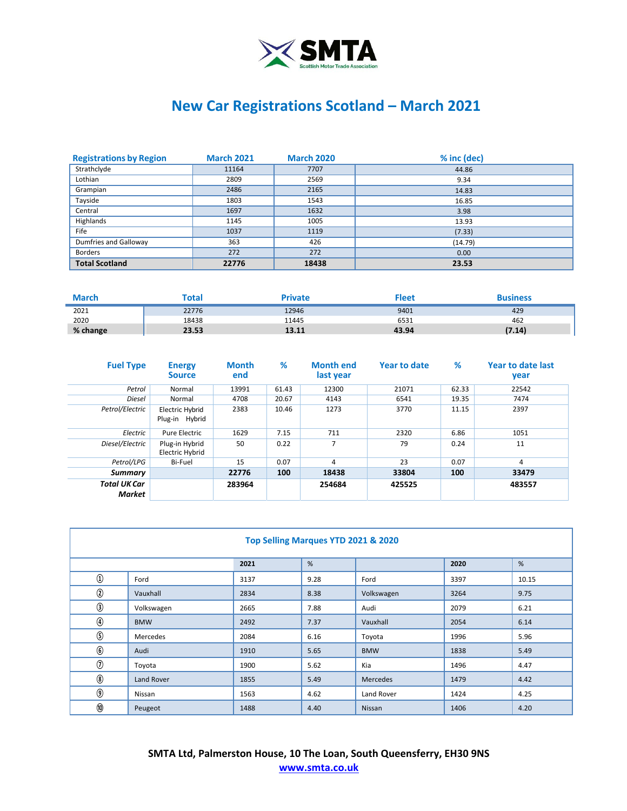

## **New Car Registrations Scotland – March 2021**

| <b>Registrations by Region</b> | <b>March 2021</b> | <b>March 2020</b> | % inc (dec) |
|--------------------------------|-------------------|-------------------|-------------|
| Strathclyde                    | 11164             | 7707              | 44.86       |
| Lothian                        | 2809              | 2569              | 9.34        |
| Grampian                       | 2486              | 2165              | 14.83       |
| Tayside                        | 1803              | 1543              | 16.85       |
| Central                        | 1697              | 1632              | 3.98        |
| Highlands                      | 1145              | 1005              | 13.93       |
| Fife                           | 1037              | 1119              | (7.33)      |
| Dumfries and Galloway          | 363               | 426               | (14.79)     |
| <b>Borders</b>                 | 272               | 272               | 0.00        |
| <b>Total Scotland</b>          | 22776             | 18438             | 23.53       |

| <b>March</b> | Tota  | <b>Private</b> | ՟leet | Business |
|--------------|-------|----------------|-------|----------|
| 2021         | 22776 | 12946          | 9401  | 429      |
| 2020         | 18438 | 11445          | 6531  | 462      |
| % change     | 23.53 | 13.11          | 43.94 | (7.14)   |

| <b>Fuel Type</b>              | <b>Energy</b><br><b>Source</b>    | <b>Month</b><br>end | %     | <b>Month end</b><br>last year | <b>Year to date</b> | %     | Year to date last<br>year |
|-------------------------------|-----------------------------------|---------------------|-------|-------------------------------|---------------------|-------|---------------------------|
| Petrol                        | Normal                            | 13991               | 61.43 | 12300                         | 21071               | 62.33 | 22542                     |
| Diesel                        | Normal                            | 4708                | 20.67 | 4143                          | 6541                | 19.35 | 7474                      |
| Petrol/Electric               | Electric Hybrid<br>Plug-in Hybrid | 2383                | 10.46 | 1273                          | 3770                | 11.15 | 2397                      |
| Electric                      | Pure Electric                     | 1629                | 7.15  | 711                           | 2320                | 6.86  | 1051                      |
| Diesel/Electric               | Plug-in Hybrid<br>Electric Hybrid | 50                  | 0.22  | $\overline{7}$                | 79                  | 0.24  | 11                        |
| Petrol/LPG                    | Bi-Fuel                           | 15                  | 0.07  | 4                             | 23                  | 0.07  | 4                         |
| Summary                       |                                   | 22776               | 100   | 18438                         | 33804               | 100   | 33479                     |
| <b>Total UK Car</b><br>Market |                                   | 283964              |       | 254684                        | 425525              |       | 483557                    |

| Top Selling Marques YTD 2021 & 2020 |            |      |      |            |      |       |  |
|-------------------------------------|------------|------|------|------------|------|-------|--|
|                                     |            | 2021 | %    |            | 2020 | %     |  |
| $^{\circledR}$                      | Ford       | 3137 | 9.28 | Ford       | 3397 | 10.15 |  |
| $^{\circledR}$                      | Vauxhall   | 2834 | 8.38 | Volkswagen | 3264 | 9.75  |  |
| $\circled{3}$                       | Volkswagen | 2665 | 7.88 | Audi       | 2079 | 6.21  |  |
| $^{\circledR}$                      | <b>BMW</b> | 2492 | 7.37 | Vauxhall   | 2054 | 6.14  |  |
| $\circledS$                         | Mercedes   | 2084 | 6.16 | Toyota     | 1996 | 5.96  |  |
| $\circledast$                       | Audi       | 1910 | 5.65 | <b>BMW</b> | 1838 | 5.49  |  |
| $\circledcirc$                      | Toyota     | 1900 | 5.62 | Kia        | 1496 | 4.47  |  |
| $^\circledR$                        | Land Rover | 1855 | 5.49 | Mercedes   | 1479 | 4.42  |  |
| $\circledS$                         | Nissan     | 1563 | 4.62 | Land Rover | 1424 | 4.25  |  |
| $^\circledR$                        | Peugeot    | 1488 | 4.40 | Nissan     | 1406 | 4.20  |  |